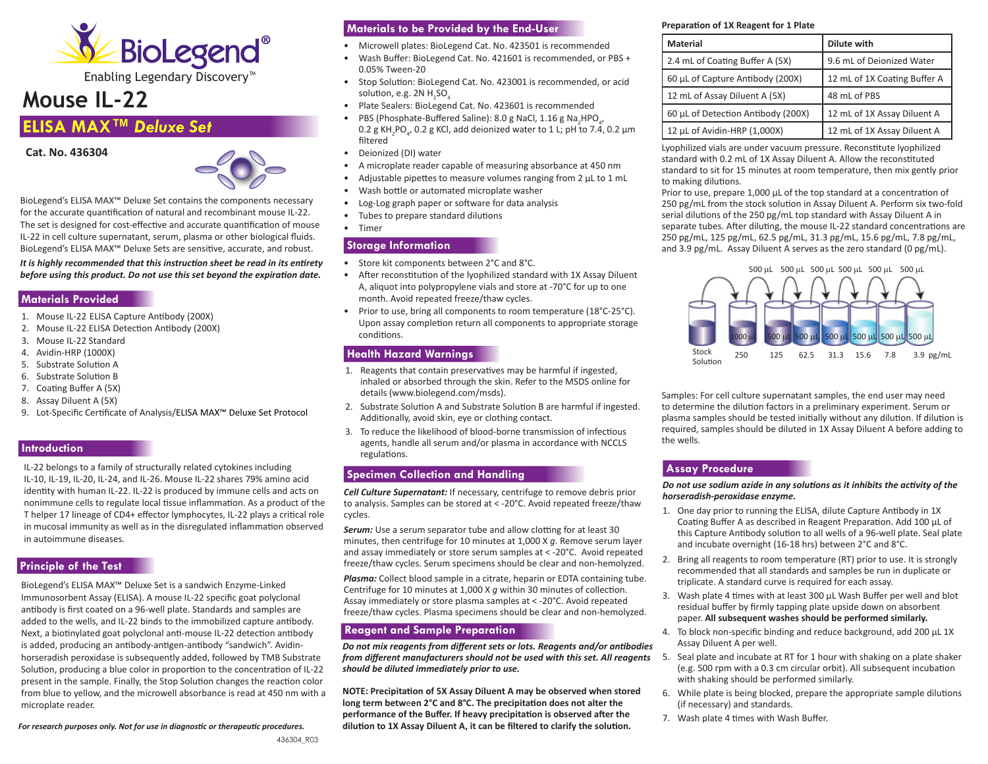

Enabling Legendary Discovery™

# **Mouse IL-22**

## **ELISA MAX™** *Deluxe Set*





BioLegend's ELISA MAX™ Deluxe Set contains the components necessary for the accurate quantification of natural and recombinant mouse IL-22. The set is designed for cost-effective and accurate quantification of mouse IL-22 in cell culture supernatant, serum, plasma or other biological fluids. BioLegend's ELISA MAX™ Deluxe Sets are sensitive, accurate, and robust.

*It is highly recommended that this instruction sheet be read in its entirety before using this product. Do not use this set beyond the expiration date.*

#### **Materials Provided**

- 1. Mouse IL-22 ELISA Capture Antibody (200X)
- 2. Mouse IL-22 ELISA Detection Antibody (200X)
- 3. Mouse IL-22 Standard
- 4. Avidin-HRP (1000X)
- 5. Substrate Solution A
- 6. Substrate Solution B
- 7. Coating Buffer A (5X)
- 8. Assay Diluent A (5X)
- 9. Lot-Specific Certificate of Analysis/ELISA MAX™ Deluxe Set Protocol

## **Introduction**

IL-22 belongs to a family of structurally related cytokines including IL-10, IL-19, IL-20, IL-24, and IL-26. Mouse IL-22 shares 79% amino acid identity with human IL-22. IL-22 is produced by immune cells and acts on nonimmune cells to regulate local tissue inflammation. As a product of the T helper 17 lineage of CD4+ effector lymphocytes, IL-22 plays a critical role in mucosal immunity as well as in the disregulated inflammation observed in autoimmune diseases.

## **Principle of the Test**

BioLegend's ELISA MAX™ Deluxe Set is a sandwich Enzyme-Linked Immunosorbent Assay (ELISA). A mouse IL-22 specific goat polyclonal antibody is first coated on a 96-well plate. Standards and samples are added to the wells, and IL-22 binds to the immobilized capture antibody. Next, a biotinylated goat polyclonal anti-mouse IL-22 detection antibody is added, producing an antibody-antigen-antibody "sandwich". Avidinhorseradish peroxidase is subsequently added, followed by TMB Substrate Solution, producing a blue color in proportion to the concentration of IL-22 present in the sample. Finally, the Stop Solution changes the reaction color from blue to yellow, and the microwell absorbance is read at 450 nm with a microplate reader.

*For research purposes only. Not for use in diagnostic or therapeutic procedures.*

## **Materials to be Provided by the End-User**

- Microwell plates: BioLegend Cat. No. 423501 is recommended
- Wash Buffer: BioLegend Cat. No. 421601 is recommended, or PBS + 0.05% Tween-20
- Stop Solution: BioLegend Cat. No. 423001 is recommended, or acid solution, e.g. 2N  $H_2$ SO $_4$
- Plate Sealers: BioLegend Cat. No. 423601 is recommended
- PBS (Phosphate-Buffered Saline): 8.0 g NaCl, 1.16 g Na<sub>2</sub>HPO<sub>4</sub>,  $0.2$  g KH<sub>2</sub>PO<sub>4</sub>, 0.2 g KCl, add deionized water to 1 L; pH to 7.4, 0.2 μm filtered
- Deionized (DI) water
- A microplate reader capable of measuring absorbance at 450 nm
- Adjustable pipettes to measure volumes ranging from 2 μL to 1 mL
- Wash bottle or automated microplate washer
- Log-Log graph paper or software for data analysis
- Tubes to prepare standard dilutions
- Timer

#### **Storage Information**

- Store kit components between 2°C and 8°C.
- After reconstitution of the lyophilized standard with 1X Assay Diluent A, aliquot into polypropylene vials and store at -70°C for up to one month. Avoid repeated freeze/thaw cycles.
- Prior to use, bring all components to room temperature (18°C-25°C). Upon assay completion return all components to appropriate storage conditions.

#### **Health Hazard Warnings**

- 1. Reagents that contain preservatives may be harmful if ingested, inhaled or absorbed through the skin. Refer to the MSDS online for details (www.biolegend.com/msds).
- 2. Substrate Solution A and Substrate Solution B are harmful if ingested. Additionally, avoid skin, eye or clothing contact.
- 3. To reduce the likelihood of blood-borne transmission of infectious agents, handle all serum and/or plasma in accordance with NCCLS regulations.

## **Specimen Collection and Handling**

*Cell Culture Supernatant:* If necessary, centrifuge to remove debris prior to analysis. Samples can be stored at < -20°C. Avoid repeated freeze/thaw cycles.

**Serum:** Use a serum separator tube and allow clotting for at least 30 minutes, then centrifuge for 10 minutes at 1,000 X *g*. Remove serum layer and assay immediately or store serum samples at < -20°C. Avoid repeated freeze/thaw cycles. Serum specimens should be clear and non-hemolyzed.

*Plasma:* Collect blood sample in a citrate, heparin or EDTA containing tube. Centrifuge for 10 minutes at 1,000 X *g* within 30 minutes of collection. Assay immediately or store plasma samples at < -20°C. Avoid repeated freeze/thaw cycles. Plasma specimens should be clear and non-hemolyzed.

## **Reagent and Sample Preparation**

*Do not mix reagents from different sets or lots. Reagents and/or antibodies*  from different manufacturers should not be used with this set. All reagents 5. Seal plate and incubate at RT for 1 hour with shaking on a plate shaker *should be diluted immediately prior to use.*

**NOTE: Precipitation of 5X Assay Diluent A may be observed when stored long term betw**e**en 2°C and 8°C. The precipitation does not alter the performance of the Buffer. If heavy precipitation is observed after the dilution to 1X Assay Diluent A, it can be filtered to clarify the solution.**

#### **Preparation of 1X Reagent for 1 Plate**

| <b>Material</b>                    | Dilute with                  |
|------------------------------------|------------------------------|
| 2.4 mL of Coating Buffer A (5X)    | 9.6 mL of Deionized Water    |
| 60 µL of Capture Antibody (200X)   | 12 mL of 1X Coating Buffer A |
| 12 mL of Assay Diluent A (5X)      | 48 mL of PBS                 |
| 60 µL of Detection Antibody (200X) | 12 mL of 1X Assay Diluent A  |
| 12 µL of Avidin-HRP (1,000X)       | 12 mL of 1X Assay Diluent A  |

Lyophilized vials are under vacuum pressure. Reconstitute lyophilized standard with 0.2 mL of 1X Assay Diluent A. Allow the reconstituted standard to sit for 15 minutes at room temperature, then mix gently prior to making dilutions.

Prior to use, prepare 1,000 μL of the top standard at a concentration of 250 pg/mL from the stock solution in Assay Diluent A. Perform six two-fold serial dilutions of the 250 pg/mL top standard with Assay Diluent A in separate tubes. After diluting, the mouse IL-22 standard concentrations are 250 pg/mL, 125 pg/mL, 62.5 pg/mL, 31.3 pg/mL, 15.6 pg/mL, 7.8 pg/mL, and 3.9 pg/mL. Assay Diluent A serves as the zero standard (0 pg/mL).



Samples: For cell culture supernatant samples, the end user may need to determine the dilution factors in a preliminary experiment. Serum or plasma samples should be tested initially without any dilution. If dilution is required, samples should be diluted in 1X Assay Diluent A before adding to the wells.

## **Assay Procedure**

*Do not use sodium azide in any solutions as it inhibits the activity of the horseradish-peroxidase enzyme.* 

- 1. One day prior to running the ELISA, dilute Capture Antibody in 1X Coating Buffer A as described in Reagent Preparation. Add 100 μL of this Capture Antibody solution to all wells of a 96-well plate. Seal plate and incubate overnight (16-18 hrs) between 2°C and 8°C.
- 2. Bring all reagents to room temperature (RT) prior to use. It is strongly recommended that all standards and samples be run in duplicate or triplicate. A standard curve is required for each assay.
- 3. Wash plate 4 times with at least 300 μL Wash Buffer per well and blot residual buffer by firmly tapping plate upside down on absorbent paper. **All subsequent washes should be performed similarly.**
- 4. To block non-specific binding and reduce background, add 200 μL 1X Assay Diluent A per well.
- (e.g. 500 rpm with a 0.3 cm circular orbit). All subsequent incubation with shaking should be performed similarly.
- 6. While plate is being blocked, prepare the appropriate sample dilutions (if necessary) and standards.
- 7. Wash plate 4 times with Wash Buffer.